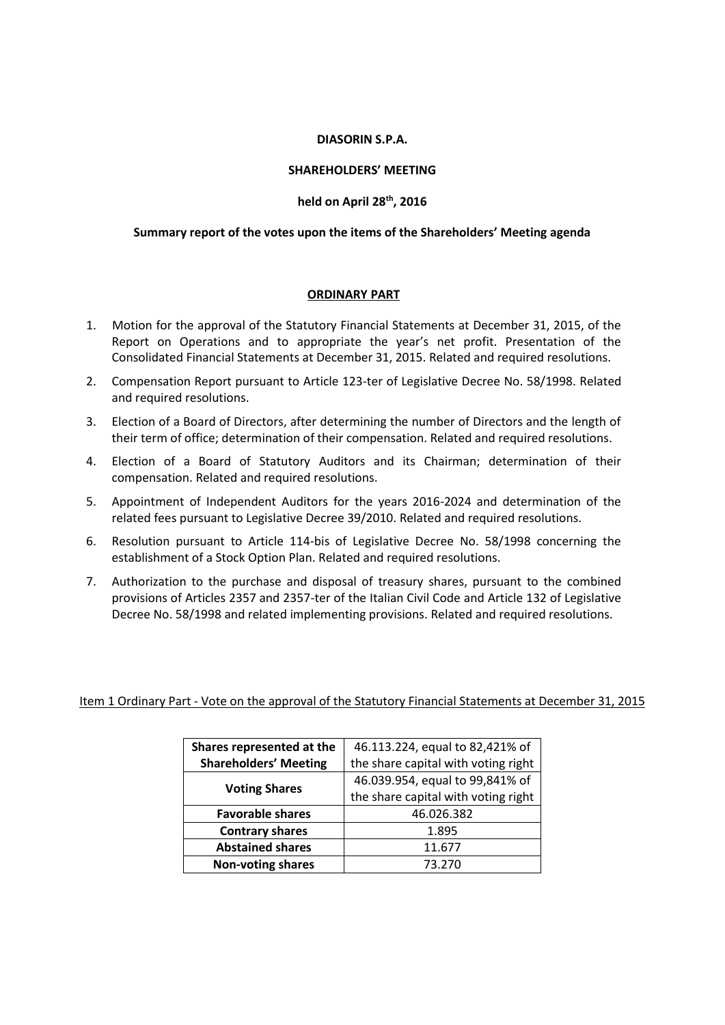#### **DIASORIN S.P.A.**

## **SHAREHOLDERS' MEETING**

#### **held on April 28th, 2016**

#### **Summary report of the votes upon the items of the Shareholders' Meeting agenda**

#### **ORDINARY PART**

- 1. Motion for the approval of the Statutory Financial Statements at December 31, 2015, of the Report on Operations and to appropriate the year's net profit. Presentation of the Consolidated Financial Statements at December 31, 2015. Related and required resolutions.
- 2. Compensation Report pursuant to Article 123-ter of Legislative Decree No. 58/1998. Related and required resolutions.
- 3. Election of a Board of Directors, after determining the number of Directors and the length of their term of office; determination of their compensation. Related and required resolutions.
- 4. Election of a Board of Statutory Auditors and its Chairman; determination of their compensation. Related and required resolutions.
- 5. Appointment of Independent Auditors for the years 2016-2024 and determination of the related fees pursuant to Legislative Decree 39/2010. Related and required resolutions.
- 6. Resolution pursuant to Article 114-bis of Legislative Decree No. 58/1998 concerning the establishment of a Stock Option Plan. Related and required resolutions.
- 7. Authorization to the purchase and disposal of treasury shares, pursuant to the combined provisions of Articles 2357 and 2357-ter of the Italian Civil Code and Article 132 of Legislative Decree No. 58/1998 and related implementing provisions. Related and required resolutions.

Item 1 Ordinary Part - Vote on the approval of the Statutory Financial Statements at December 31, 2015

| Shares represented at the    | 46.113.224, equal to 82,421% of     |
|------------------------------|-------------------------------------|
| <b>Shareholders' Meeting</b> | the share capital with voting right |
|                              | 46.039.954, equal to 99,841% of     |
| <b>Voting Shares</b>         | the share capital with voting right |
| <b>Favorable shares</b>      | 46.026.382                          |
| <b>Contrary shares</b>       | 1.895                               |
| <b>Abstained shares</b>      | 11.677                              |
| <b>Non-voting shares</b>     | 73.270                              |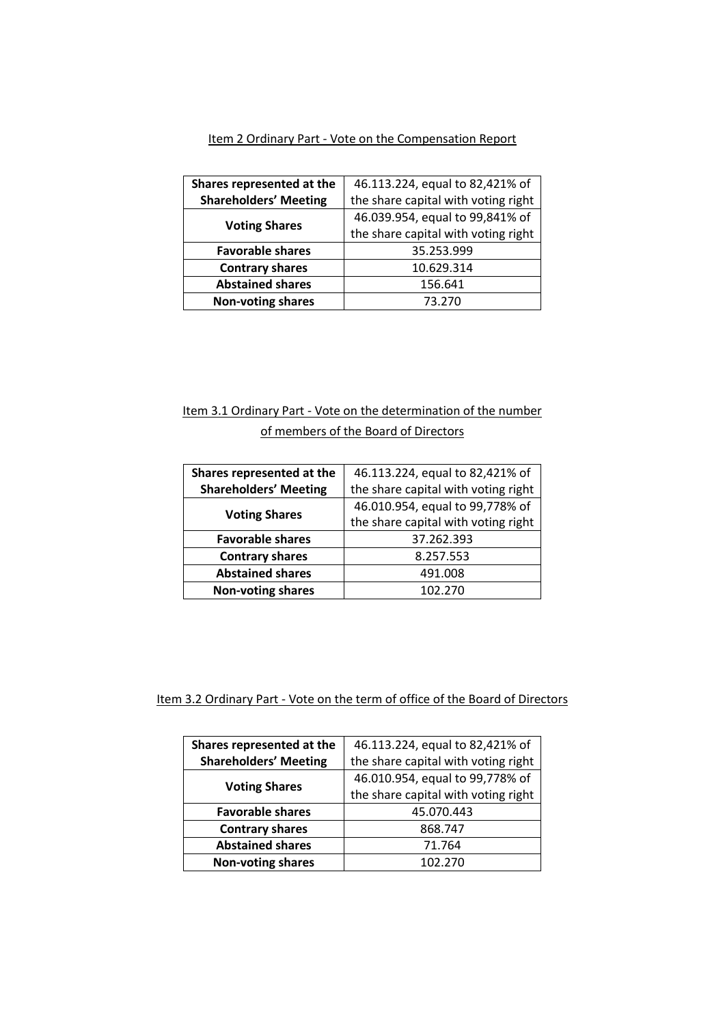|--|

| Shares represented at the    | 46.113.224, equal to 82,421% of     |
|------------------------------|-------------------------------------|
| <b>Shareholders' Meeting</b> | the share capital with voting right |
| <b>Voting Shares</b>         | 46.039.954, equal to 99,841% of     |
|                              | the share capital with voting right |
| <b>Favorable shares</b>      | 35.253.999                          |
| <b>Contrary shares</b>       | 10.629.314                          |
| <b>Abstained shares</b>      | 156.641                             |
| <b>Non-voting shares</b>     | 73.270                              |

# Item 3.1 Ordinary Part - Vote on the determination of the number of members of the Board of Directors

| Shares represented at the    | 46.113.224, equal to 82,421% of     |
|------------------------------|-------------------------------------|
| <b>Shareholders' Meeting</b> | the share capital with voting right |
| <b>Voting Shares</b>         | 46.010.954, equal to 99,778% of     |
|                              | the share capital with voting right |
| <b>Favorable shares</b>      | 37.262.393                          |
| <b>Contrary shares</b>       | 8.257.553                           |
| <b>Abstained shares</b>      | 491.008                             |
| <b>Non-voting shares</b>     | 102.270                             |

Item 3.2 Ordinary Part - Vote on the term of office of the Board of Directors

| Shares represented at the    | 46.113.224, equal to 82,421% of     |
|------------------------------|-------------------------------------|
| <b>Shareholders' Meeting</b> | the share capital with voting right |
| <b>Voting Shares</b>         | 46.010.954, equal to 99,778% of     |
|                              | the share capital with voting right |
| <b>Favorable shares</b>      | 45.070.443                          |
| <b>Contrary shares</b>       | 868.747                             |
| <b>Abstained shares</b>      | 71.764                              |
| <b>Non-voting shares</b>     | 102.270                             |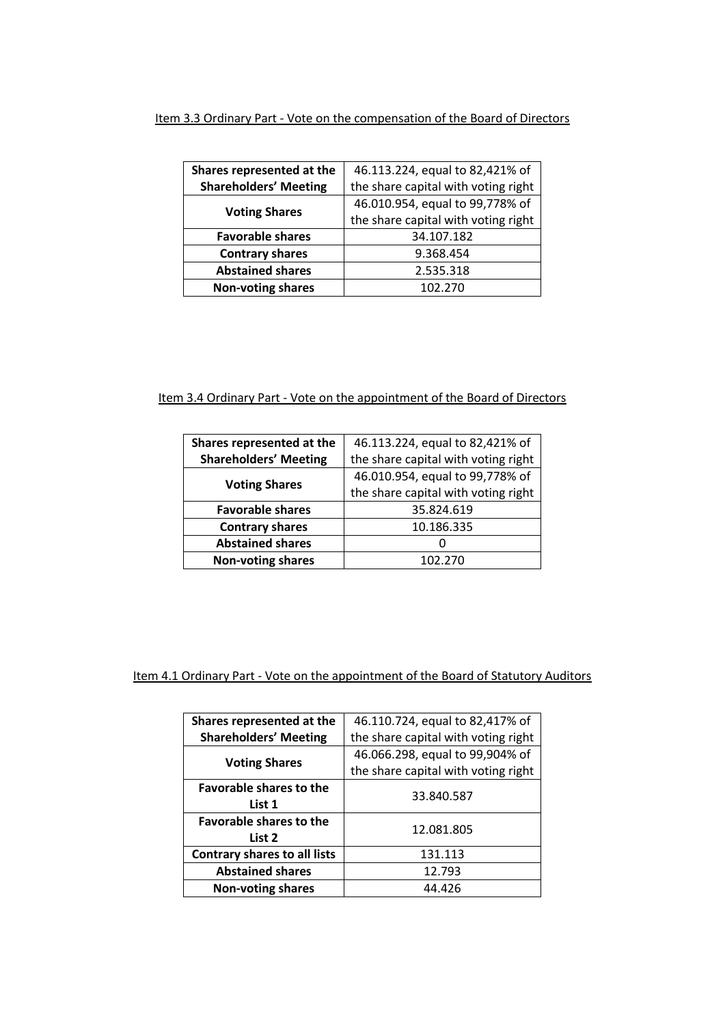## Item 3.3 Ordinary Part - Vote on the compensation of the Board of Directors

| Shares represented at the    | 46.113.224, equal to 82,421% of     |
|------------------------------|-------------------------------------|
| <b>Shareholders' Meeting</b> | the share capital with voting right |
| <b>Voting Shares</b>         | 46.010.954, equal to 99,778% of     |
|                              | the share capital with voting right |
| <b>Favorable shares</b>      | 34.107.182                          |
| <b>Contrary shares</b>       | 9.368.454                           |
| <b>Abstained shares</b>      | 2.535.318                           |
| <b>Non-voting shares</b>     | 102.270                             |

# Item 3.4 Ordinary Part - Vote on the appointment of the Board of Directors

| Shares represented at the    | 46.113.224, equal to 82,421% of     |
|------------------------------|-------------------------------------|
| <b>Shareholders' Meeting</b> | the share capital with voting right |
| <b>Voting Shares</b>         | 46.010.954, equal to 99,778% of     |
|                              | the share capital with voting right |
| <b>Favorable shares</b>      | 35.824.619                          |
| <b>Contrary shares</b>       | 10.186.335                          |
| <b>Abstained shares</b>      | O                                   |
| <b>Non-voting shares</b>     | 102.270                             |

# Item 4.1 Ordinary Part - Vote on the appointment of the Board of Statutory Auditors

| Shares represented at the           | 46.110.724, equal to 82,417% of     |
|-------------------------------------|-------------------------------------|
| <b>Shareholders' Meeting</b>        | the share capital with voting right |
| <b>Voting Shares</b>                | 46.066.298, equal to 99,904% of     |
|                                     | the share capital with voting right |
| <b>Favorable shares to the</b>      |                                     |
| List 1                              | 33.840.587                          |
| <b>Favorable shares to the</b>      |                                     |
| List 2                              | 12.081.805                          |
| <b>Contrary shares to all lists</b> | 131.113                             |
| <b>Abstained shares</b>             | 12.793                              |
| <b>Non-voting shares</b>            | 44.426                              |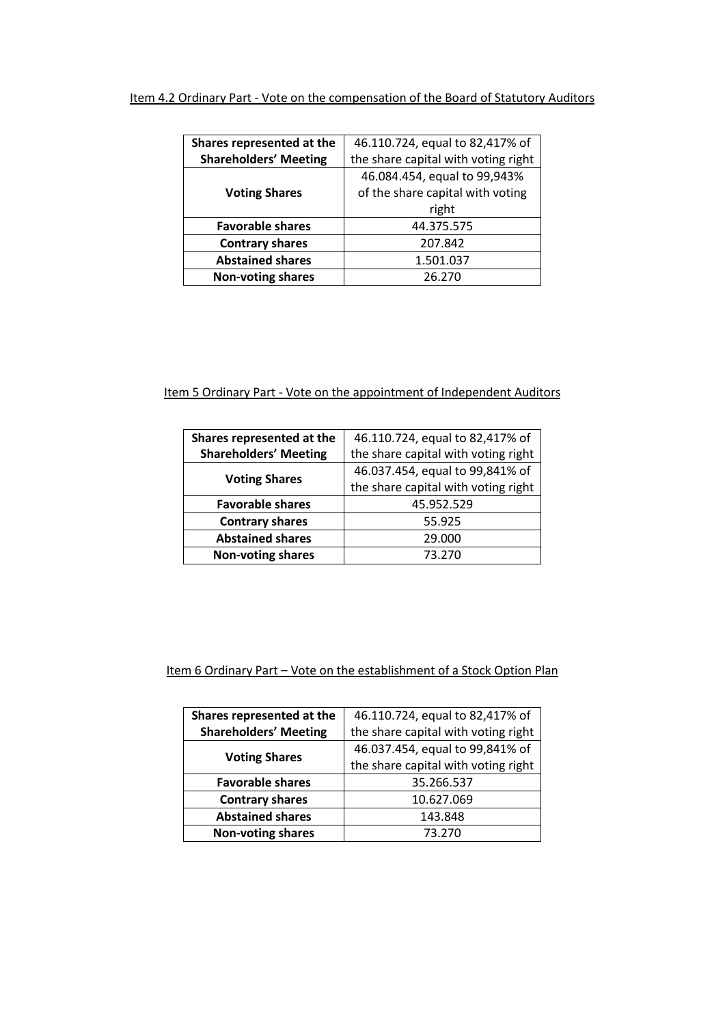# Item 4.2 Ordinary Part - Vote on the compensation of the Board of Statutory Auditors

| Shares represented at the    | 46.110.724, equal to 82,417% of     |
|------------------------------|-------------------------------------|
| <b>Shareholders' Meeting</b> | the share capital with voting right |
|                              | 46.084.454, equal to 99,943%        |
| <b>Voting Shares</b>         | of the share capital with voting    |
|                              | right                               |
| <b>Favorable shares</b>      | 44.375.575                          |
| <b>Contrary shares</b>       | 207.842                             |
| <b>Abstained shares</b>      | 1.501.037                           |
| <b>Non-voting shares</b>     | 26.270                              |

# Item 5 Ordinary Part - Vote on the appointment of Independent Auditors

| Shares represented at the    | 46.110.724, equal to 82,417% of     |
|------------------------------|-------------------------------------|
| <b>Shareholders' Meeting</b> | the share capital with voting right |
| <b>Voting Shares</b>         | 46.037.454, equal to 99,841% of     |
|                              | the share capital with voting right |
| <b>Favorable shares</b>      | 45.952.529                          |
| <b>Contrary shares</b>       | 55.925                              |
| <b>Abstained shares</b>      | 29.000                              |
| <b>Non-voting shares</b>     | 73.270                              |

# Item 6 Ordinary Part - Vote on the establishment of a Stock Option Plan

| Shares represented at the    | 46.110.724, equal to 82,417% of     |
|------------------------------|-------------------------------------|
| <b>Shareholders' Meeting</b> | the share capital with voting right |
| <b>Voting Shares</b>         | 46.037.454, equal to 99,841% of     |
|                              | the share capital with voting right |
| <b>Favorable shares</b>      | 35.266.537                          |
| <b>Contrary shares</b>       | 10.627.069                          |
| <b>Abstained shares</b>      | 143.848                             |
| <b>Non-voting shares</b>     | 73.270                              |